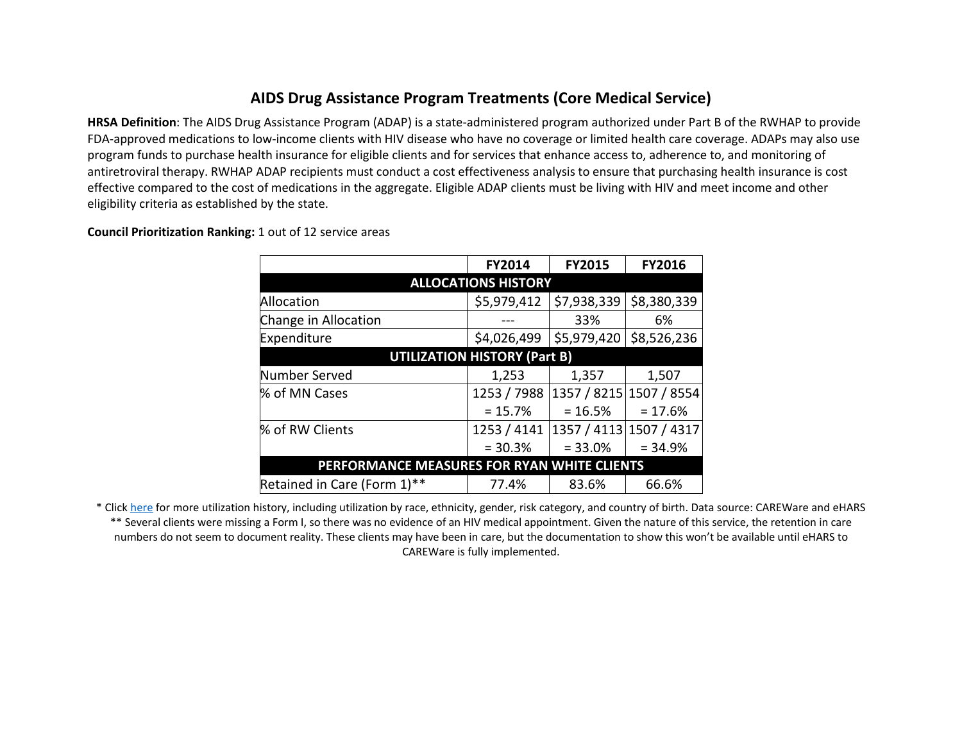## **AIDS Drug Assistance Program Treatments (Core Medical Service)**

**HRSA Definition**: The AIDS Drug Assistance Program (ADAP) is a state-administered program authorized under Part B of the RWHAP to provide FDA-approved medications to low-income clients with HIV disease who have no coverage or limited health care coverage. ADAPs may also use program funds to purchase health insurance for eligible clients and for services that enhance access to, adherence to, and monitoring of antiretroviral therapy. RWHAP ADAP recipients must conduct a cost effectiveness analysis to ensure that purchasing health insurance is cost effective compared to the cost of medications in the aggregate. Eligible ADAP clients must be living with HIV and meet income and other eligibility criteria as established by the state.

|                                             | <b>FY2014</b> | <b>FY2015</b>           | <b>FY2016</b> |  |  |  |  |  |  |  |
|---------------------------------------------|---------------|-------------------------|---------------|--|--|--|--|--|--|--|
| <b>ALLOCATIONS HISTORY</b>                  |               |                         |               |  |  |  |  |  |  |  |
| Allocation                                  | \$5,979,412   | \$7,938,339             | \$8,380,339   |  |  |  |  |  |  |  |
| Change in Allocation                        |               | 33%                     | 6%            |  |  |  |  |  |  |  |
| Expenditure                                 | \$4,026,499   | \$5,979,420             | \$8,526,236   |  |  |  |  |  |  |  |
| <b>UTILIZATION HISTORY (Part B)</b>         |               |                         |               |  |  |  |  |  |  |  |
| Number Served                               | 1,253         | 1,357                   | 1,507         |  |  |  |  |  |  |  |
| % of MN Cases                               | 1253 / 7988   | 1357 / 8215 1507 / 8554 |               |  |  |  |  |  |  |  |
|                                             | $= 15.7%$     | $= 16.5%$               | $= 17.6%$     |  |  |  |  |  |  |  |
| % of RW Clients                             | 1253 / 4141   | 1357 / 4113 1507 / 4317 |               |  |  |  |  |  |  |  |
|                                             | $= 30.3%$     | $= 33.0%$               | $= 34.9%$     |  |  |  |  |  |  |  |
| PERFORMANCE MEASURES FOR RYAN WHITE CLIENTS |               |                         |               |  |  |  |  |  |  |  |
| Retained in Care (Form 1)**                 | 77.4%         | 83.6%                   | 66.6%         |  |  |  |  |  |  |  |

**Council Prioritization Ranking:** 1 out of 12 service areas

\* Clic[k here](http://www.mnhivcouncil.org/uploads/3/4/7/5/34759483/core_medical_services_sars.pdf) for more utilization history, including utilization by race, ethnicity, gender, risk category, and country of birth. Data source: CAREWare and eHARS \*\* Several clients were missing a Form I, so there was no evidence of an HIV medical appointment. Given the nature of this service, the retention in care numbers do not seem to document reality. These clients may have been in care, but the documentation to show this won't be available until eHARS to CAREWare is fully implemented.